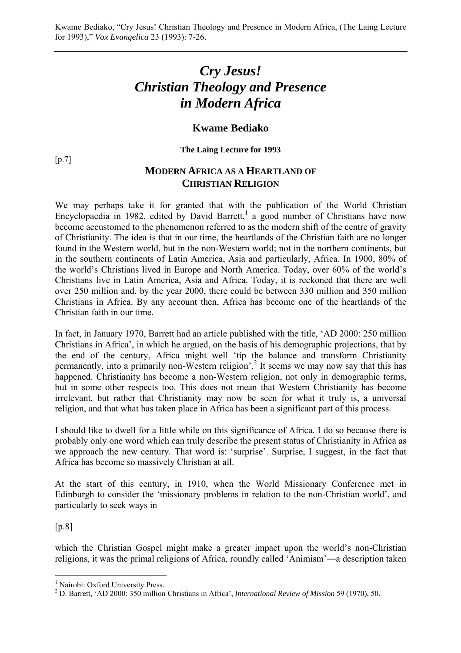# *Cry Jesus! Christian Theology and Presence in Modern Africa*

# **Kwame Bediako**

#### **The Laing Lecture for 1993**

 $[p.7]$ 

## **MODERN AFRICA AS A HEARTLAND OF CHRISTIAN RELIGION**

We may perhaps take it for granted that with the publication of the World Christian Encyclopaedia in 1982, edited by David Barrett,<sup>1</sup> a good number of Christians have now become accustomed to the phenomenon referred to as the modern shift of the centre of gravity of Christianity. The idea is that in our time, the heartlands of the Christian faith are no longer found in the Western world, but in the non-Western world; not in the northern continents, but in the southern continents of Latin America, Asia and particularly, Africa. In 1900, 80% of the world's Christians lived in Europe and North America. Today, over 60% of the world's Christians live in Latin America, Asia and Africa. Today, it is reckoned that there are well over 250 million and, by the year 2000, there could be between 330 million and 350 million Christians in Africa. By any account then, Africa has become one of the heartlands of the Christian faith in our time.

In fact, in January 1970, Barrett had an article published with the title, 'AD 2000: 250 million Christians in Africa', in which he argued, on the basis of his demographic projections, that by the end of the century, Africa might well 'tip the balance and transform Christianity permanently, into a primarily non-Western religion<sup>'2</sup> It seems we may now say that this has happened. Christianity has become a non-Western religion, not only in demographic terms, but in some other respects too. This does not mean that Western Christianity has become irrelevant, but rather that Christianity may now be seen for what it truly is, a universal religion, and that what has taken place in Africa has been a significant part of this process.

I should like to dwell for a little while on this significance of Africa. I do so because there is probably only one word which can truly describe the present status of Christianity in Africa as we approach the new century. That word is: 'surprise'. Surprise, I suggest, in the fact that Africa has become so massively Christian at all.

At the start of this century, in 1910, when the World Missionary Conference met in Edinburgh to consider the 'missionary problems in relation to the non-Christian world', and particularly to seek ways in

[p.8]

 $\overline{a}$ 

which the Christian Gospel might make a greater impact upon the world's non-Christian religions, it was the primal religions of Africa, roundly called 'Animism'―a description taken

<sup>&</sup>lt;sup>1</sup> Nairobi: Oxford University Press.

<sup>2</sup> D. Barrett, 'AD 2000: 350 million Christians in Africa', *International Review of Mission* 59 (1970), 50.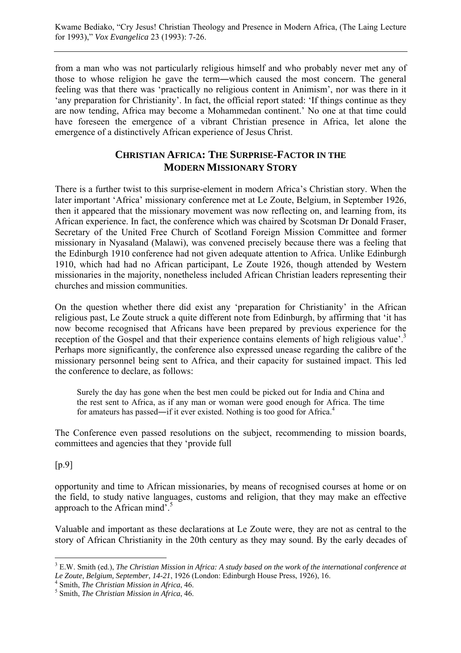from a man who was not particularly religious himself and who probably never met any of those to whose religion he gave the term―which caused the most concern. The general feeling was that there was 'practically no religious content in Animism', nor was there in it 'any preparation for Christianity'. In fact, the official report stated: 'If things continue as they are now tending, Africa may become a Mohammedan continent.' No one at that time could have foreseen the emergence of a vibrant Christian presence in Africa, let alone the emergence of a distinctively African experience of Jesus Christ.

## **CHRISTIAN AFRICA: THE SURPRISE-FACTOR IN THE MODERN MISSIONARY STORY**

There is a further twist to this surprise-element in modern Africa's Christian story. When the later important 'Africa' missionary conference met at Le Zoute, Belgium, in September 1926, then it appeared that the missionary movement was now reflecting on, and learning from, its African experience. In fact, the conference which was chaired by Scotsman Dr Donald Fraser, Secretary of the United Free Church of Scotland Foreign Mission Committee and former missionary in Nyasaland (Malawi), was convened precisely because there was a feeling that the Edinburgh 1910 conference had not given adequate attention to Africa. Unlike Edinburgh 1910, which had had no African participant, Le Zoute 1926, though attended by Western missionaries in the majority, nonetheless included African Christian leaders representing their churches and mission communities.

On the question whether there did exist any 'preparation for Christianity' in the African religious past, Le Zoute struck a quite different note from Edinburgh, by affirming that 'it has now become recognised that Africans have been prepared by previous experience for the reception of the Gospel and that their experience contains elements of high religious value'.<sup>3</sup> Perhaps more significantly, the conference also expressed unease regarding the calibre of the missionary personnel being sent to Africa, and their capacity for sustained impact. This led the conference to declare, as follows:

Surely the day has gone when the best men could be picked out for India and China and the rest sent to Africa, as if any man or woman were good enough for Africa. The time for amateurs has passed—if it ever existed. Nothing is too good for Africa.<sup>4</sup>

The Conference even passed resolutions on the subject, recommending to mission boards, committees and agencies that they 'provide full

#### [p.9]

 $\overline{a}$ 

opportunity and time to African missionaries, by means of recognised courses at home or on the field, to study native languages, customs and religion, that they may make an effective approach to the African mind'. $5$ 

Valuable and important as these declarations at Le Zoute were, they are not as central to the story of African Christianity in the 20th century as they may sound. By the early decades of

<sup>&</sup>lt;sup>3</sup> E.W. Smith (ed.), *The Christian Mission in Africa: A study based on the work of the international conference at Le Zoute, Belgium, September, 14-21*, 1926 (London: Edinburgh House Press, 1926), 16. 4

Smith, *The Christian Mission in Africa*, 46. 5

Smith, *The Christian Mission in Africa*, 46.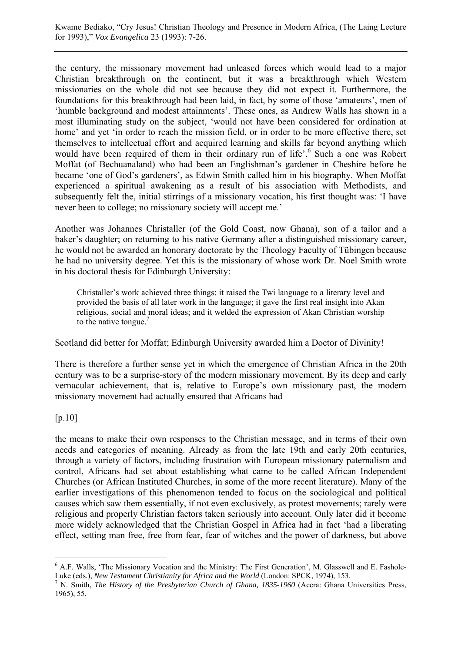the century, the missionary movement had unleased forces which would lead to a major Christian breakthrough on the continent, but it was a breakthrough which Western missionaries on the whole did not see because they did not expect it. Furthermore, the foundations for this breakthrough had been laid, in fact, by some of those 'amateurs', men of 'humble background and modest attainments'. These ones, as Andrew Walls has shown in a most illuminating study on the subject, 'would not have been considered for ordination at home' and yet 'in order to reach the mission field, or in order to be more effective there, set themselves to intellectual effort and acquired learning and skills far beyond anything which would have been required of them in their ordinary run of life'.<sup>6</sup> Such a one was Robert Moffat (of Bechuanaland) who had been an Englishman's gardener in Cheshire before he became 'one of God's gardeners', as Edwin Smith called him in his biography. When Moffat experienced a spiritual awakening as a result of his association with Methodists, and subsequently felt the, initial stirrings of a missionary vocation, his first thought was: 'I have never been to college; no missionary society will accept me.'

Another was Johannes Christaller (of the Gold Coast, now Ghana), son of a tailor and a baker's daughter; on returning to his native Germany after a distinguished missionary career, he would not be awarded an honorary doctorate by the Theology Faculty of Tübingen because he had no university degree. Yet this is the missionary of whose work Dr. Noel Smith wrote in his doctoral thesis for Edinburgh University:

Christaller's work achieved three things: it raised the Twi language to a literary level and provided the basis of all later work in the language; it gave the first real insight into Akan religious, social and moral ideas; and it welded the expression of Akan Christian worship to the native tongue.<sup>7</sup>

Scotland did better for Moffat; Edinburgh University awarded him a Doctor of Divinity!

There is therefore a further sense yet in which the emergence of Christian Africa in the 20th century was to be a surprise-story of the modern missionary movement. By its deep and early vernacular achievement, that is, relative to Europe's own missionary past, the modern missionary movement had actually ensured that Africans had

[p.10]

the means to make their own responses to the Christian message, and in terms of their own needs and categories of meaning. Already as from the late 19th and early 20th centuries, through a variety of factors, including frustration with European missionary paternalism and control, Africans had set about establishing what came to be called African Independent Churches (or African Instituted Churches, in some of the more recent literature). Many of the earlier investigations of this phenomenon tended to focus on the sociological and political causes which saw them essentially, if not even exclusively, as protest movements; rarely were religious and properly Christian factors taken seriously into account. Only later did it become more widely acknowledged that the Christian Gospel in Africa had in fact 'had a liberating effect, setting man free, free from fear, fear of witches and the power of darkness, but above

 $\overline{a}$ <sup>6</sup> A.F. Walls, 'The Missionary Vocation and the Ministry: The First Generation', M. Glasswell and E. Fashole-Luke (eds.), *New Testament Christianity for Africa and the World* (London: SPCK, 1974), 153.

<sup>&</sup>lt;sup>7</sup> N. Smith, *The History of the Presbyterian Church of Ghana, 1835-1960* (Accra: Ghana Universities Press, 1965), 55.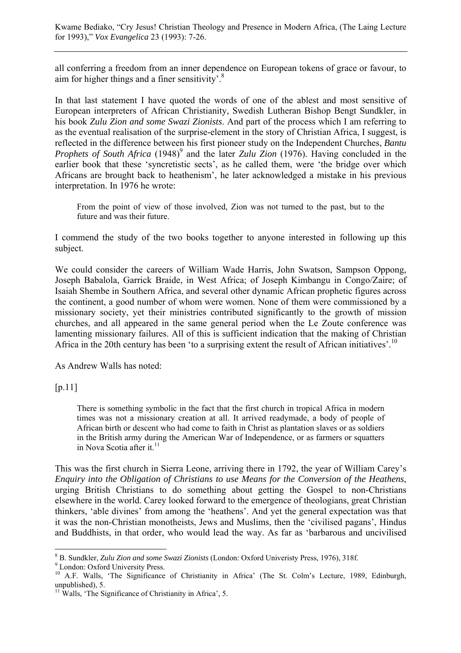all conferring a freedom from an inner dependence on European tokens of grace or favour, to aim for higher things and a finer sensitivity'.8

In that last statement I have quoted the words of one of the ablest and most sensitive of European interpreters of African Christianity, Swedish Lutheran Bishop Bengt Sundkler, in his book *Zulu Zion and some Swazi Zionists*. And part of the process which I am referring to as the eventual realisation of the surprise-element in the story of Christian Africa, I suggest, is reflected in the difference between his first pioneer study on the Independent Churches, *Bantu Prophets of South Africa* (1948)<sup>9</sup> and the later *Zulu Zion* (1976). Having concluded in the earlier book that these 'syncretistic sects', as he called them, were 'the bridge over which Africans are brought back to heathenism', he later acknowledged a mistake in his previous interpretation. In 1976 he wrote:

From the point of view of those involved, Zion was not turned to the past, but to the future and was their future.

I commend the study of the two books together to anyone interested in following up this subject.

We could consider the careers of William Wade Harris, John Swatson, Sampson Oppong, Joseph Babalola, Garrick Braide, in West Africa; of Joseph Kimbangu in Congo/Zaire; of Isaiah Shembe in Southern Africa, and several other dynamic African prophetic figures across the continent, a good number of whom were women. None of them were commissioned by a missionary society, yet their ministries contributed significantly to the growth of mission churches, and all appeared in the same general period when the Le Zoute conference was lamenting missionary failures. All of this is sufficient indication that the making of Christian Africa in the 20th century has been 'to a surprising extent the result of African initiatives'.<sup>10</sup>

As Andrew Walls has noted:

 $[p.11]$ 

 $\overline{a}$ 

There is something symbolic in the fact that the first church in tropical Africa in modern times was not a missionary creation at all. It arrived readymade, a body of people of African birth or descent who had come to faith in Christ as plantation slaves or as soldiers in the British army during the American War of Independence, or as farmers or squatters in Nova Scotia after it. $11$ 

This was the first church in Sierra Leone, arriving there in 1792, the year of William Carey's *Enquiry into the Obligation of Christians to use Means for the Conversion of the Heathens*, urging British Christians to do something about getting the Gospel to non-Christians elsewhere in the world. Carey looked forward to the emergence of theologians, great Christian thinkers, 'able divines' from among the 'heathens'. And yet the general expectation was that it was the non-Christian monotheists, Jews and Muslims, then the 'civilised pagans', Hindus and Buddhists, in that order, who would lead the way. As far as 'barbarous and uncivilised

<sup>&</sup>lt;sup>8</sup> B. Sundkler, *Zulu Zion and some Swazi Zionists* (London: Oxford Univeristy Press, 1976), 318f.<br><sup>9</sup> London: Oxford University Press

<sup>&</sup>lt;sup>9</sup> London: Oxford University Press.

<sup>&</sup>lt;sup>10</sup> A.F. Walls, 'The Significance of Christianity in Africa' (The St. Colm's Lecture, 1989, Edinburgh, unpublished), 5.

<sup>&</sup>lt;sup>11</sup> Walls, 'The Significance of Christianity in Africa', 5.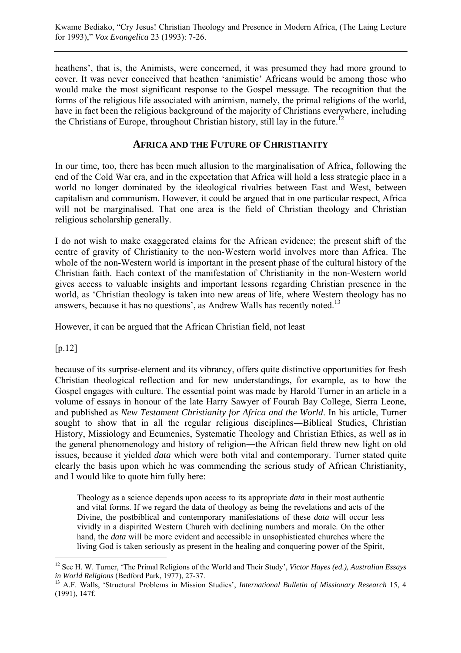heathens', that is, the Animists, were concerned, it was presumed they had more ground to cover. It was never conceived that heathen 'animistic' Africans would be among those who would make the most significant response to the Gospel message. The recognition that the forms of the religious life associated with animism, namely, the primal religions of the world, have in fact been the religious background of the majority of Christians everywhere, including the Christians of Europe, throughout Christian history, still lay in the future.<sup>12</sup>

# **AFRICA AND THE FUTURE OF CHRISTIANITY**

In our time, too, there has been much allusion to the marginalisation of Africa, following the end of the Cold War era, and in the expectation that Africa will hold a less strategic place in a world no longer dominated by the ideological rivalries between East and West, between capitalism and communism. However, it could be argued that in one particular respect, Africa will not be marginalised. That one area is the field of Christian theology and Christian religious scholarship generally.

I do not wish to make exaggerated claims for the African evidence; the present shift of the centre of gravity of Christianity to the non-Western world involves more than Africa. The whole of the non-Western world is important in the present phase of the cultural history of the Christian faith. Each context of the manifestation of Christianity in the non-Western world gives access to valuable insights and important lessons regarding Christian presence in the world, as 'Christian theology is taken into new areas of life, where Western theology has no answers, because it has no questions', as Andrew Walls has recently noted.<sup>13</sup>

However, it can be argued that the African Christian field, not least

 $[p.12]$ 

because of its surprise-element and its vibrancy, offers quite distinctive opportunities for fresh Christian theological reflection and for new understandings, for example, as to how the Gospel engages with culture. The essential point was made by Harold Turner in an article in a volume of essays in honour of the late Harry Sawyer of Fourah Bay College, Sierra Leone, and published as *New Testament Christianity for Africa and the World*. In his article, Turner sought to show that in all the regular religious disciplines—Biblical Studies, Christian History, Missiology and Ecumenics, Systematic Theology and Christian Ethics, as well as in the general phenomenology and history of religion―the African field threw new light on old issues, because it yielded *data* which were both vital and contemporary. Turner stated quite clearly the basis upon which he was commending the serious study of African Christianity, and I would like to quote him fully here:

Theology as a science depends upon access to its appropriate *data* in their most authentic and vital forms. If we regard the data of theology as being the revelations and acts of the Divine, the postbiblical and contemporary manifestations of these *data* will occur less vividly in a dispirited Western Church with declining numbers and morale. On the other hand, the *data* will be more evident and accessible in unsophisticated churches where the living God is taken seriously as present in the healing and conquering power of the Spirit,

 $\overline{a}$ 12 See H. W. Turner, 'The Primal Religions of the World and Their Study', *Victor Hayes (ed.), Australian Essays in World Religions* (Bedford Park, 1977), 27-37.<br><sup>13</sup> A.F. Walls, 'Structural Problems in Mission Studies', *International Bulletin of Missionary Research* 15, 4

<sup>(1991), 147</sup>f.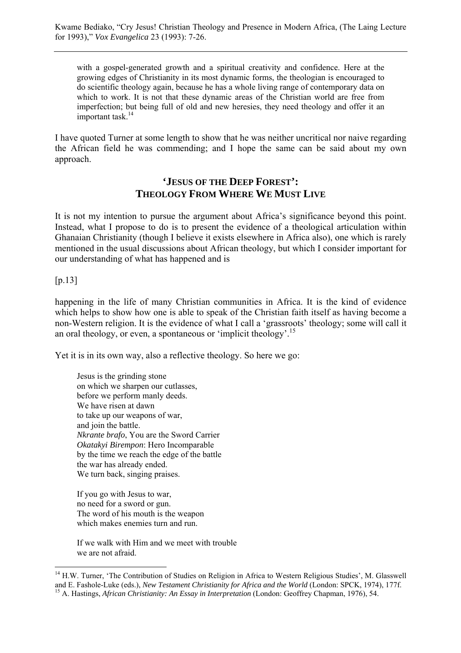with a gospel-generated growth and a spiritual creativity and confidence. Here at the growing edges of Christianity in its most dynamic forms, the theologian is encouraged to do scientific theology again, because he has a whole living range of contemporary data on which to work. It is not that these dynamic areas of the Christian world are free from imperfection; but being full of old and new heresies, they need theology and offer it an important task.<sup>14</sup>

I have quoted Turner at some length to show that he was neither uncritical nor naive regarding the African field he was commending; and I hope the same can be said about my own approach.

# **'JESUS OF THE DEEP FOREST': THEOLOGY FROM WHERE WE MUST LIVE**

It is not my intention to pursue the argument about Africa's significance beyond this point. Instead, what I propose to do is to present the evidence of a theological articulation within Ghanaian Christianity (though I believe it exists elsewhere in Africa also), one which is rarely mentioned in the usual discussions about African theology, but which I consider important for our understanding of what has happened and is

 $[p.13]$ 

 $\overline{a}$ 

happening in the life of many Christian communities in Africa. It is the kind of evidence which helps to show how one is able to speak of the Christian faith itself as having become a non-Western religion. It is the evidence of what I call a 'grassroots' theology; some will call it an oral theology, or even, a spontaneous or 'implicit theology'.15

Yet it is in its own way, also a reflective theology. So here we go:

Jesus is the grinding stone on which we sharpen our cutlasses, before we perform manly deeds. We have risen at dawn to take up our weapons of war, and join the battle. *Nkrante brafo*, You are the Sword Carrier *Okatakyi Birempon*: Hero Incomparable by the time we reach the edge of the battle the war has already ended. We turn back, singing praises.

If you go with Jesus to war, no need for a sword or gun. The word of his mouth is the weapon which makes enemies turn and run.

If we walk with Him and we meet with trouble we are not afraid.

<sup>&</sup>lt;sup>14</sup> H.W. Turner, 'The Contribution of Studies on Religion in Africa to Western Religious Studies', M. Glasswell and E. Fashole-Luke (eds.), *New Testament Christianity for Africa and the World* (London: SPCK, 1974), 177f <sup>15</sup> A. Hastings, *African Christianity: An Essay in Interpretation* (London: Geoffrey Chapman, 1976), 54.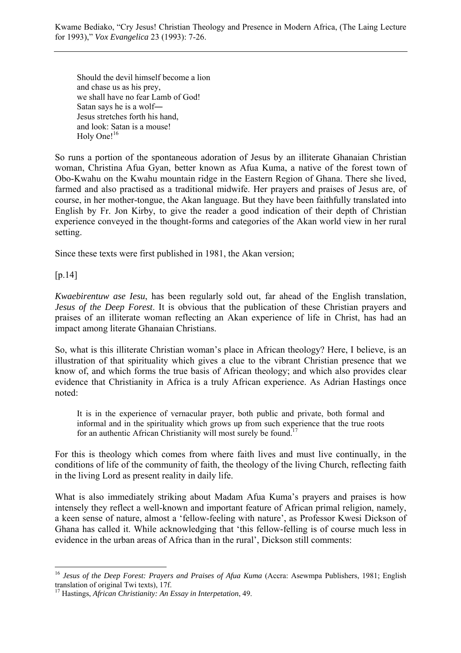Should the devil himself become a lion and chase us as his prey, we shall have no fear Lamb of God! Satan says he is a wolf― Jesus stretches forth his hand, and look: Satan is a mouse! Holy One! $16$ 

So runs a portion of the spontaneous adoration of Jesus by an illiterate Ghanaian Christian woman, Christina Afua Gyan, better known as Afua Kuma, a native of the forest town of Obo-Kwahu on the Kwahu mountain ridge in the Eastern Region of Ghana. There she lived, farmed and also practised as a traditional midwife. Her prayers and praises of Jesus are, of course, in her mother-tongue, the Akan language. But they have been faithfully translated into English by Fr. Jon Kirby, to give the reader a good indication of their depth of Christian experience conveyed in the thought-forms and categories of the Akan world view in her rural setting.

Since these texts were first published in 1981, the Akan version;

[p.14]

 $\overline{a}$ 

*Kwaebirentuw ase Iesu*, has been regularly sold out, far ahead of the English translation, *Jesus of the Deep Forest*. It is obvious that the publication of these Christian prayers and praises of an illiterate woman reflecting an Akan experience of life in Christ, has had an impact among literate Ghanaian Christians.

So, what is this illiterate Christian woman's place in African theology? Here, I believe, is an illustration of that spirituality which gives a clue to the vibrant Christian presence that we know of, and which forms the true basis of African theology; and which also provides clear evidence that Christianity in Africa is a truly African experience. As Adrian Hastings once noted:

It is in the experience of vernacular prayer, both public and private, both formal and informal and in the spirituality which grows up from such experience that the true roots for an authentic African Christianity will most surely be found.<sup>17</sup>

For this is theology which comes from where faith lives and must live continually, in the conditions of life of the community of faith, the theology of the living Church, reflecting faith in the living Lord as present reality in daily life.

What is also immediately striking about Madam Afua Kuma's prayers and praises is how intensely they reflect a well-known and important feature of African primal religion, namely, a keen sense of nature, almost a 'fellow-feeling with nature', as Professor Kwesi Dickson of Ghana has called it. While acknowledging that 'this fellow-felling is of course much less in evidence in the urban areas of Africa than in the rural', Dickson still comments:

<sup>16</sup> *Jesus of the Deep Forest: Prayers and Praises of Afua Kuma* (Accra: Asewmpa Publishers, 1981; English translation of original Twi texts), 17f.

<sup>17</sup> Hastings, *African Christianity: An Essay in Interpetation*, 49.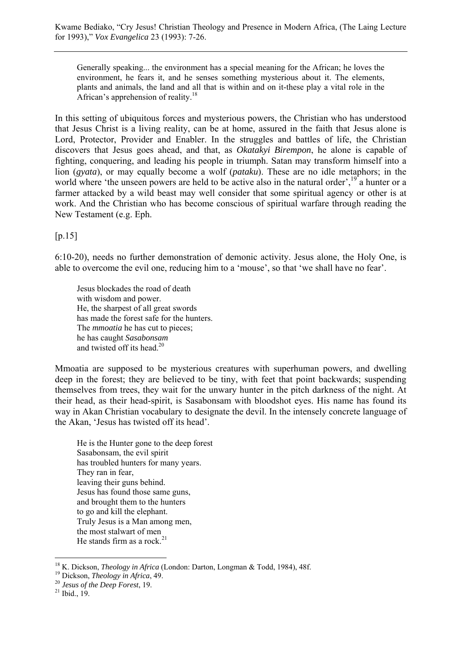Generally speaking... the environment has a special meaning for the African; he loves the environment, he fears it, and he senses something mysterious about it. The elements, plants and animals, the land and all that is within and on it-these play a vital role in the African's apprehension of reality.<sup>18</sup>

In this setting of ubiquitous forces and mysterious powers, the Christian who has understood that Jesus Christ is a living reality, can be at home, assured in the faith that Jesus alone is Lord, Protector, Provider and Enabler. In the struggles and battles of life, the Christian discovers that Jesus goes ahead, and that, as *Okatakyi Birempon*, he alone is capable of fighting, conquering, and leading his people in triumph. Satan may transform himself into a lion (*gyata*), or may equally become a wolf (*pataku*). These are no idle metaphors; in the world where 'the unseen powers are held to be active also in the natural order', <sup>19</sup> a hunter or a farmer attacked by a wild beast may well consider that some spiritual agency or other is at work. And the Christian who has become conscious of spiritual warfare through reading the New Testament (e.g. Eph.

 $[p.15]$ 

6:10-20), needs no further demonstration of demonic activity. Jesus alone, the Holy One, is able to overcome the evil one, reducing him to a 'mouse', so that 'we shall have no fear'.

Jesus blockades the road of death with wisdom and power. He, the sharpest of all great swords has made the forest safe for the hunters. The *mmoatia* he has cut to pieces; he has caught *Sasabonsam* and twisted off its head.<sup>20</sup>

Mmoatia are supposed to be mysterious creatures with superhuman powers, and dwelling deep in the forest; they are believed to be tiny, with feet that point backwards; suspending themselves from trees, they wait for the unwary hunter in the pitch darkness of the night. At their head, as their head-spirit, is Sasabonsam with bloodshot eyes. His name has found its way in Akan Christian vocabulary to designate the devil. In the intensely concrete language of the Akan, 'Jesus has twisted off its head'.

He is the Hunter gone to the deep forest Sasabonsam, the evil spirit has troubled hunters for many years. They ran in fear, leaving their guns behind. Jesus has found those same guns, and brought them to the hunters to go and kill the elephant. Truly Jesus is a Man among men, the most stalwart of men He stands firm as a rock. $21$ 

 $\overline{a}$ <sup>18</sup> K. Dickson, *Theology in Africa* (London: Darton, Longman & Todd, 1984), 48f.<br><sup>19</sup> Dickson, *Theology in Africa*, 49.<br><sup>20</sup> *Jesus of the Deep Forest*, 19.<br><sup>21</sup> Ibid., 19.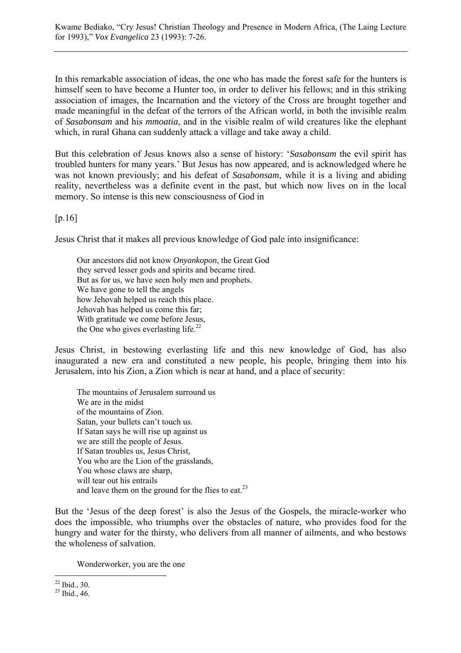In this remarkable association of ideas, the one who has made the forest safe for the hunters is himself seen to have become a Hunter too, in order to deliver his fellows; and in this striking association of images, the Incarnation and the victory of the Cross are brought together and made meaningful in the defeat of the terrors of the African world, in both the invisible realm of *Sasabonsam* and his *mmoatia*, and in the visible realm of wild creatures like the elephant which, in rural Ghana can suddenly attack a village and take away a child.

But this celebration of Jesus knows also a sense of history: '*Sasabonsam* the evil spirit has troubled hunters for many years.' But Jesus has now appeared, and is acknowledged where he was not known previously; and his defeat of *Sasabonsam*, while it is a living and abiding reality, nevertheless was a definite event in the past, but which now lives on in the local memory. So intense is this new consciousness of God in

[p.16]

Jesus Christ that it makes all previous knowledge of God pale into insignificance:

Our ancestors did not know *Onyankopon*, the Great God they served lesser gods and spirits and became tired. But as for us, we have seen holy men and prophets. We have gone to tell the angels how Jehovah helped us reach this place. Jehovah has helped us come this far; With gratitude we come before Jesus, the One who gives everlasting life. $^{22}$ 

Jesus Christ, in bestowing everlasting life and this new knowledge of God, has also inaugurated a new era and constituted a new people, his people, bringing them into his Jerusalem, into his Zion, a Zion which is near at hand, and a place of security:

The mountains of Jerusalem surround us We are in the midst of the mountains of Zion. Satan, your bullets can't touch us. If Satan says he will rise up against us we are still the people of Jesus. If Satan troubles us, Jesus Christ, You who are the Lion of the grasslands, You whose claws are sharp, will tear out his entrails and leave them on the ground for the flies to eat.<sup>23</sup>

But the 'Jesus of the deep forest' is also the Jesus of the Gospels, the miracle-worker who does the impossible, who triumphs over the obstacles of nature, who provides food for the hungry and water for the thirsty, who delivers from all manner of ailments, and who bestows the wholeness of salvation.

Wonderworker, you are the one

 $22$  Ibid., 30.

<sup>23</sup> Ibid., 46.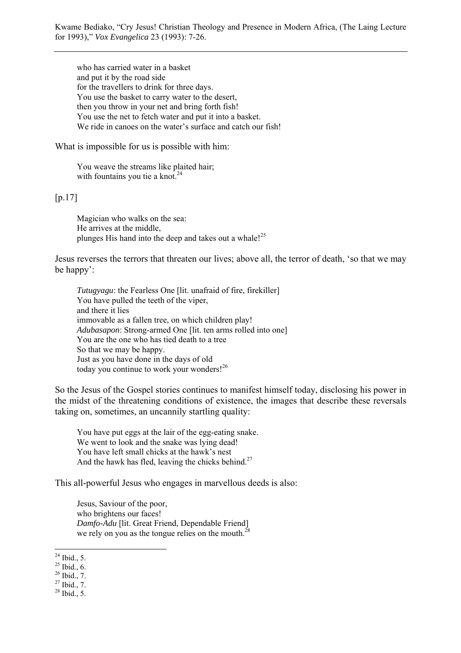who has carried water in a basket and put it by the road side for the travellers to drink for three days. You use the basket to carry water to the desert, then you throw in your net and bring forth fish! You use the net to fetch water and put it into a basket. We ride in canoes on the water's surface and catch our fish!

What is impossible for us is possible with him:

You weave the streams like plaited hair; with fountains you tie a knot. $24$ 

[p.17]

Magician who walks on the sea: He arrives at the middle, plunges His hand into the deep and takes out a whale!<sup>25</sup>

Jesus reverses the terrors that threaten our lives; above all, the terror of death, 'so that we may be happy':

*Tutugyagu*: the Fearless One [lit. unafraid of fire, firekiller] You have pulled the teeth of the viper, and there it lies immovable as a fallen tree, on which children play! *Adubasapon*: Strong-armed One [lit. ten arms rolled into one] You are the one who has tied death to a tree So that we may be happy. Just as you have done in the days of old today you continue to work your wonders!<sup>26</sup>

So the Jesus of the Gospel stories continues to manifest himself today, disclosing his power in the midst of the threatening conditions of existence, the images that describe these reversals taking on, sometimes, an uncannily startling quality:

You have put eggs at the lair of the egg-eating snake. We went to look and the snake was lying dead! You have left small chicks at the hawk's nest And the hawk has fled, leaving the chicks behind. $27$ 

This all-powerful Jesus who engages in marvellous deeds is also:

Jesus, Saviour of the poor, who brightens our faces! *Damfo-Adu* [lit. Great Friend, Dependable Friend] we rely on you as the tongue relies on the mouth.<sup>28</sup>

 $^{24}$  Ibid., 5.

 $^{25}$  Ibid., 6.

 $\frac{26}{27}$  Ibid., 7.

 $^{27}$  Ibid., 7.

 $^{28}$  Ibid., 5.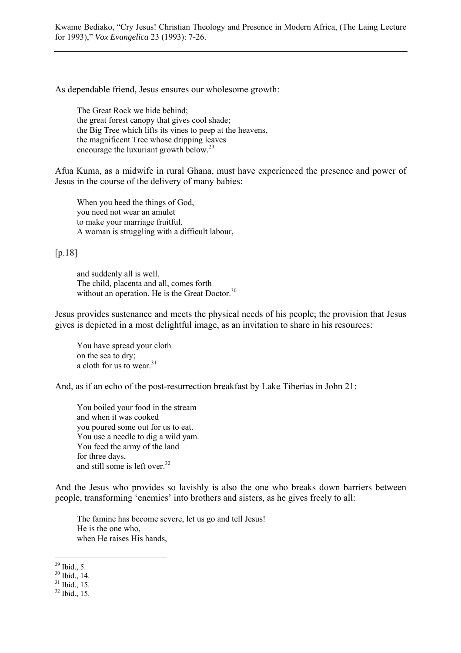As dependable friend, Jesus ensures our wholesome growth:

The Great Rock we hide behind; the great forest canopy that gives cool shade; the Big Tree which lifts its vines to peep at the heavens, the magnificent Tree whose dripping leaves encourage the luxuriant growth below.<sup>29</sup>

Afua Kuma, as a midwife in rural Ghana, must have experienced the presence and power of Jesus in the course of the delivery of many babies:

When you heed the things of God, you need not wear an amulet to make your marriage fruitful. A woman is struggling with a difficult labour,

#### [p.18]

and suddenly all is well. The child, placenta and all, comes forth without an operation. He is the Great Doctor.<sup>30</sup>

Jesus provides sustenance and meets the physical needs of his people; the provision that Jesus gives is depicted in a most delightful image, as an invitation to share in his resources:

You have spread your cloth on the sea to dry; a cloth for us to wear. $31$ 

And, as if an echo of the post-resurrection breakfast by Lake Tiberias in John 21:

You boiled your food in the stream and when it was cooked you poured some out for us to eat. You use a needle to dig a wild yam. You feed the army of the land for three days, and still some is left over.<sup>32</sup>

And the Jesus who provides so lavishly is also the one who breaks down barriers between people, transforming 'enemies' into brothers and sisters, as he gives freely to all:

The famine has become severe, let us go and tell Jesus! He is the one who, when He raises His hands,

 $^{29}$  Ibid., 5.

 $30$  Ibid., 14.

 $31$  Ibid., 15.

 $32$  Ibid., 15.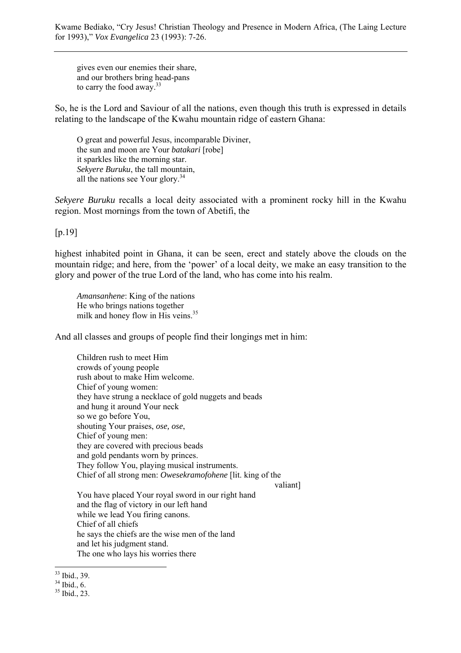gives even our enemies their share, and our brothers bring head-pans to carry the food away.<sup>33</sup>

So, he is the Lord and Saviour of all the nations, even though this truth is expressed in details relating to the landscape of the Kwahu mountain ridge of eastern Ghana:

O great and powerful Jesus, incomparable Diviner, the sun and moon are Your *batakari* [robe] it sparkles like the morning star. *Sekyere Buruku*, the tall mountain, all the nations see Your glory. $34$ 

*Sekyere Buruku* recalls a local deity associated with a prominent rocky hill in the Kwahu region. Most mornings from the town of Abetifi, the

[p.19]

highest inhabited point in Ghana, it can be seen, erect and stately above the clouds on the mountain ridge; and here, from the 'power' of a local deity, we make an easy transition to the glory and power of the true Lord of the land, who has come into his realm.

*Amansanhene*: King of the nations He who brings nations together milk and honey flow in His veins.<sup>35</sup>

And all classes and groups of people find their longings met in him:

Children rush to meet Him crowds of young people rush about to make Him welcome. Chief of young women: they have strung a necklace of gold nuggets and beads and hung it around Your neck so we go before You, shouting Your praises, *ose, ose*, Chief of young men: they are covered with precious beads and gold pendants worn by princes. They follow You, playing musical instruments. Chief of all strong men: *Owesekramofohene* [lit. king of the valiant] You have placed Your royal sword in our right hand and the flag of victory in our left hand while we lead You firing canons. Chief of all chiefs he says the chiefs are the wise men of the land and let his judgment stand. The one who lays his worries there

<sup>33</sup> Ibid., 39.

 $34$  Ibid., 6.

 $35$  Ibid., 23.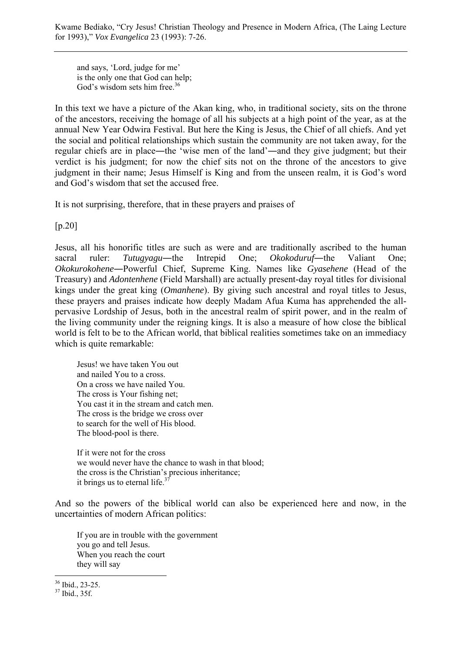and says, 'Lord, judge for me' is the only one that God can help; God's wisdom sets him free.<sup>36</sup>

In this text we have a picture of the Akan king, who, in traditional society, sits on the throne of the ancestors, receiving the homage of all his subjects at a high point of the year, as at the annual New Year Odwira Festival. But here the King is Jesus, the Chief of all chiefs. And yet the social and political relationships which sustain the community are not taken away, for the regular chiefs are in place―the 'wise men of the land'―and they give judgment; but their verdict is his judgment; for now the chief sits not on the throne of the ancestors to give judgment in their name; Jesus Himself is King and from the unseen realm, it is God's word and God's wisdom that set the accused free.

It is not surprising, therefore, that in these prayers and praises of

[p.20]

Jesus, all his honorific titles are such as were and are traditionally ascribed to the human sacral ruler: *Tutugyagu*―the Intrepid One; *Okokoduruf*―the Valiant One; *Okokurokohene*―Powerful Chief, Supreme King. Names like *Gyasehene* (Head of the Treasury) and *Adontenhene* (Field Marshall) are actually present-day royal titles for divisional kings under the great king (*Omanhene*). By giving such ancestral and royal titles to Jesus, these prayers and praises indicate how deeply Madam Afua Kuma has apprehended the allpervasive Lordship of Jesus, both in the ancestral realm of spirit power, and in the realm of the living community under the reigning kings. It is also a measure of how close the biblical world is felt to be to the African world, that biblical realities sometimes take on an immediacy which is quite remarkable:

Jesus! we have taken You out and nailed You to a cross. On a cross we have nailed You. The cross is Your fishing net; You cast it in the stream and catch men. The cross is the bridge we cross over to search for the well of His blood. The blood-pool is there.

If it were not for the cross we would never have the chance to wash in that blood; the cross is the Christian's precious inheritance; it brings us to eternal life. $3<sup>7</sup>$ 

And so the powers of the biblical world can also be experienced here and now, in the uncertainties of modern African politics:

If you are in trouble with the government you go and tell Jesus. When you reach the court they will say

 $\overline{a}$  $36$  Ibid., 23-25.

<sup>37</sup> Ibid., 35f.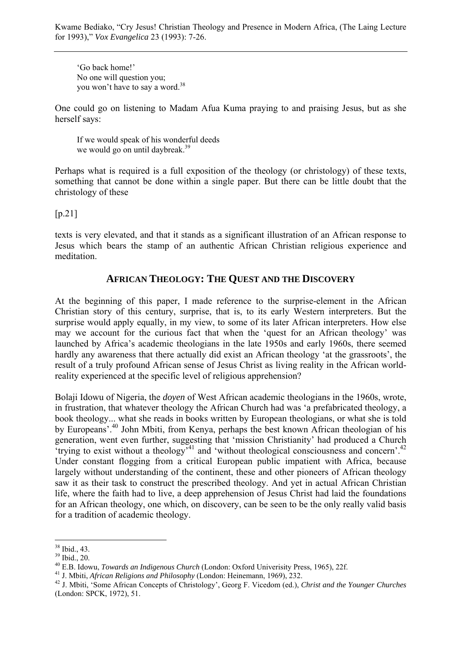'Go back home!' No one will question you; you won't have to say a word.<sup>38</sup>

One could go on listening to Madam Afua Kuma praying to and praising Jesus, but as she herself says:

If we would speak of his wonderful deeds we would go on until daybreak.<sup>39</sup>

Perhaps what is required is a full exposition of the theology (or christology) of these texts, something that cannot be done within a single paper. But there can be little doubt that the christology of these

[p.21]

texts is very elevated, and that it stands as a significant illustration of an African response to Jesus which bears the stamp of an authentic African Christian religious experience and meditation.

## **AFRICAN THEOLOGY: THE QUEST AND THE DISCOVERY**

At the beginning of this paper, I made reference to the surprise-element in the African Christian story of this century, surprise, that is, to its early Western interpreters. But the surprise would apply equally, in my view, to some of its later African interpreters. How else may we account for the curious fact that when the 'quest for an African theology' was launched by Africa's academic theologians in the late 1950s and early 1960s, there seemed hardly any awareness that there actually did exist an African theology 'at the grassroots', the result of a truly profound African sense of Jesus Christ as living reality in the African worldreality experienced at the specific level of religious apprehension?

Bolaji Idowu of Nigeria, the *doyen* of West African academic theologians in the 1960s, wrote, in frustration, that whatever theology the African Church had was 'a prefabricated theology, a book theology... what she reads in books written by European theologians, or what she is told by Europeans'.40 John Mbiti, from Kenya, perhaps the best known African theologian of his generation, went even further, suggesting that 'mission Christianity' had produced a Church 'trying to exist without a theology<sup>541</sup> and 'without theological consciousness and concern'.<sup>42</sup> Under constant flogging from a critical European public impatient with Africa, because largely without understanding of the continent, these and other pioneers of African theology saw it as their task to construct the prescribed theology. And yet in actual African Christian life, where the faith had to live, a deep apprehension of Jesus Christ had laid the foundations for an African theology, one which, on discovery, can be seen to be the only really valid basis for a tradition of academic theology.

 $38$  Ibid., 43.

 $^{39}$  Ibid., 20.<br> $^{40}$  E.B. Idowu, *Towards an Indigenous Church* (London: Oxford Univerisity Press, 1965), 22f.

<sup>&</sup>lt;sup>41</sup> J. Mbiti, *African Religions and Philosophy* (London: Heinemann, 1969), 232.<br><sup>42</sup> J. Mbiti, 'Some African Concepts of Christology', Georg F. Vicedom (ed.), *Christ and the Younger Churches* (London: SPCK, 1972), 51.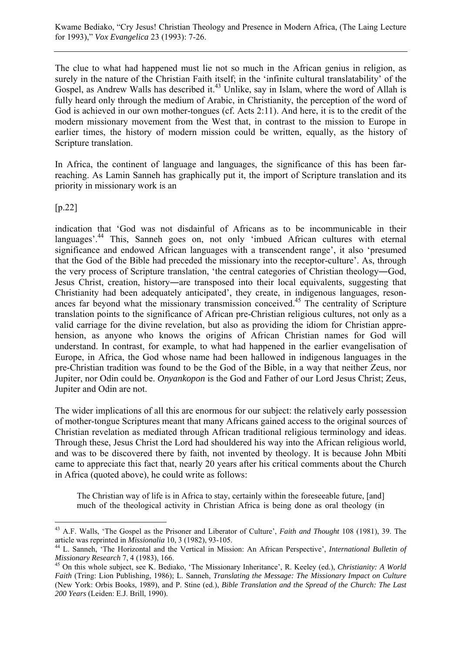The clue to what had happened must lie not so much in the African genius in religion, as surely in the nature of the Christian Faith itself; in the 'infinite cultural translatability' of the Gospel, as Andrew Walls has described it.<sup>43</sup> Unlike, say in Islam, where the word of Allah is fully heard only through the medium of Arabic, in Christianity, the perception of the word of God is achieved in our own mother-tongues (cf. Acts 2:11). And here, it is to the credit of the modern missionary movement from the West that, in contrast to the mission to Europe in earlier times, the history of modern mission could be written, equally, as the history of Scripture translation.

In Africa, the continent of language and languages, the significance of this has been farreaching. As Lamin Sanneh has graphically put it, the import of Scripture translation and its priority in missionary work is an

[p.22]

 $\overline{a}$ 

indication that 'God was not disdainful of Africans as to be incommunicable in their languages'.<sup>44</sup> This, Sanneh goes on, not only 'imbued African cultures with eternal significance and endowed African languages with a transcendent range', it also 'presumed that the God of the Bible had preceded the missionary into the receptor-culture'. As, through the very process of Scripture translation, 'the central categories of Christian theology―God, Jesus Christ, creation, history―are transposed into their local equivalents, suggesting that Christianity had been adequately anticipated', they create, in indigenous languages, resonances far beyond what the missionary transmission conceived.<sup>45</sup> The centrality of Scripture translation points to the significance of African pre-Christian religious cultures, not only as a valid carriage for the divine revelation, but also as providing the idiom for Christian apprehension, as anyone who knows the origins of African Christian names for God will understand. In contrast, for example, to what had happened in the earlier evangelisation of Europe, in Africa, the God whose name had been hallowed in indigenous languages in the pre-Christian tradition was found to be the God of the Bible, in a way that neither Zeus, nor Jupiter, nor Odin could be. *Onyankopon* is the God and Father of our Lord Jesus Christ; Zeus, Jupiter and Odin are not.

The wider implications of all this are enormous for our subject: the relatively early possession of mother-tongue Scriptures meant that many Africans gained access to the original sources of Christian revelation as mediated through African traditional religious terminology and ideas. Through these, Jesus Christ the Lord had shouldered his way into the African religious world, and was to be discovered there by faith, not invented by theology. It is because John Mbiti came to appreciate this fact that, nearly 20 years after his critical comments about the Church in Africa (quoted above), he could write as follows:

The Christian way of life is in Africa to stay, certainly within the foreseeable future, [and] much of the theological activity in Christian Africa is being done as oral theology (in

<sup>43</sup> A.F. Walls, 'The Gospel as the Prisoner and Liberator of Culture', *Faith and Thought* 108 (1981), 39. The article was reprinted in *Missionalia* 10, 3 (1982), 93-105. 44 L. Sanneh, 'The Horizontal and the Vertical in Mission: An African Perspective', *International Bulletin of* 

*Missionary Research* 7, 4 (1983), 166.<br><sup>45</sup> On this whole subject, see K. Bediako, 'The Missionary Inheritance', R. Keeley (ed.), *Christianity: A World* 

*Faith* (Tring: Lion Publishing, 1986); L. Sanneh, *Translating the Message: The Missionary Impact on Culture* (New York: Orbis Books, 1989), and P. Stine (ed.), *Bible Translation and the Spread of the Church: The Last 200 Years* (Leiden: E.J. Brill, 1990).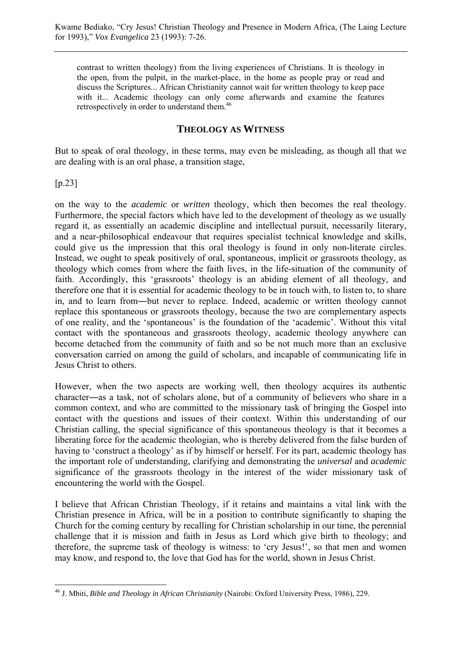contrast to written theology) from the living experiences of Christians. It is theology in the open, from the pulpit, in the market-place, in the home as people pray or read and discuss the Scriptures... African Christianity cannot wait for written theology to keep pace with it... Academic theology can only come afterwards and examine the features retrospectively in order to understand them.<sup>46</sup>

## **THEOLOGY AS WITNESS**

But to speak of oral theology, in these terms, may even be misleading, as though all that we are dealing with is an oral phase, a transition stage,

[p.23]

on the way to the *academic* or *written* theology, which then becomes the real theology. Furthermore, the special factors which have led to the development of theology as we usually regard it, as essentially an academic discipline and intellectual pursuit, necessarily literary, and a near-philosophical endeavour that requires specialist technical knowledge and skills, could give us the impression that this oral theology is found in only non-literate circles. Instead, we ought to speak positively of oral, spontaneous, implicit or grassroots theology, as theology which comes from where the faith lives, in the life-situation of the community of faith. Accordingly, this 'grassroots' theology is an abiding element of all theology, and therefore one that it is essential for academic theology to be in touch with, to listen to, to share in, and to learn from―but never to replace. Indeed, academic or written theology cannot replace this spontaneous or grassroots theology, because the two are complementary aspects of one reality, and the 'spontaneous' is the foundation of the 'academic'. Without this vital contact with the spontaneous and grassroots theology, academic theology anywhere can become detached from the community of faith and so be not much more than an exclusive conversation carried on among the guild of scholars, and incapable of communicating life in Jesus Christ to others.

However, when the two aspects are working well, then theology acquires its authentic character―as a task, not of scholars alone, but of a community of believers who share in a common context, and who are committed to the missionary task of bringing the Gospel into contact with the questions and issues of their context. Within this understanding of our Christian calling, the special significance of this spontaneous theology is that it becomes a liberating force for the academic theologian, who is thereby delivered from the false burden of having to 'construct a theology' as if by himself or herself. For its part, academic theology has the important role of understanding, clarifying and demonstrating the *universal* and *academic* significance of the grassroots theology in the interest of the wider missionary task of encountering the world with the Gospel.

I believe that African Christian Theology, if it retains and maintains a vital link with the Christian presence in Africa, will be in a position to contribute significantly to shaping the Church for the coming century by recalling for Christian scholarship in our time, the perennial challenge that it is mission and faith in Jesus as Lord which give birth to theology; and therefore, the supreme task of theology is witness: to 'cry Jesus!', so that men and women may know, and respond to, the love that God has for the world, shown in Jesus Christ.

 $\overline{a}$ 46 J. Mbiti, *Bible and Theology in African Christianity* (Nairobi: Oxford University Press, 1986), 229.